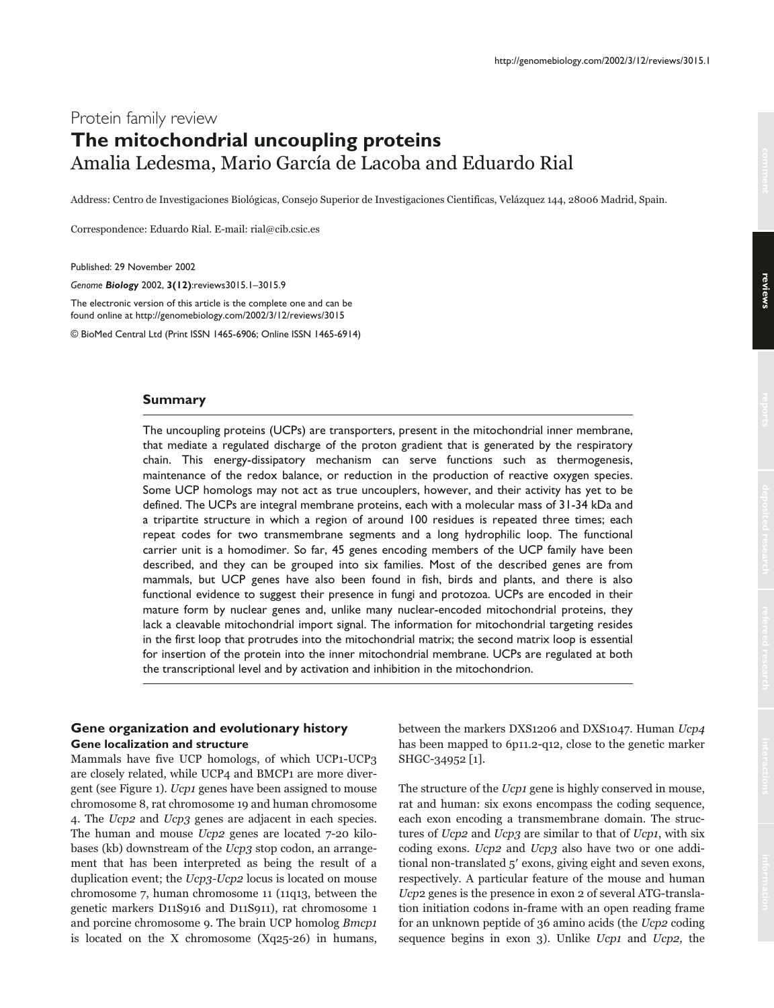# Protein family review **The mitochondrial uncoupling proteins** Amalia Ledesma, Mario García de Lacoba and Eduardo Rial

Address: Centro de Investigaciones Biológicas, Consejo Superior de Investigaciones Cientificas, Velázquez 144, 28006 Madrid, Spain.

Correspondence: Eduardo Rial. E-mail: rial@cib.csic.es

Published: 29 November 2002

*Genome Biology* 2002, **3(12)**:reviews3015.1–3015.9

The electronic version of this article is the complete one and can be found online at http://genomebiology.com/2002/3/12/reviews/3015

© BioMed Central Ltd (Print ISSN 1465-6906; Online ISSN 1465-6914)

## **Summary**

The uncoupling proteins (UCPs) are transporters, present in the mitochondrial inner membrane, that mediate a regulated discharge of the proton gradient that is generated by the respiratory chain. This energy-dissipatory mechanism can serve functions such as thermogenesis, maintenance of the redox balance, or reduction in the production of reactive oxygen species. Some UCP homologs may not act as true uncouplers, however, and their activity has yet to be defined. The UCPs are integral membrane proteins, each with a molecular mass of 31-34 kDa and a tripartite structure in which a region of around 100 residues is repeated three times; each repeat codes for two transmembrane segments and a long hydrophilic loop. The functional carrier unit is a homodimer. So far, 45 genes encoding members of the UCP family have been described, and they can be grouped into six families. Most of the described genes are from mammals, but UCP genes have also been found in fish, birds and plants, and there is also functional evidence to suggest their presence in fungi and protozoa. UCPs are encoded in their mature form by nuclear genes and, unlike many nuclear-encoded mitochondrial proteins, they lack a cleavable mitochondrial import signal. The information for mitochondrial targeting resides in the first loop that protrudes into the mitochondrial matrix; the second matrix loop is essential for insertion of the protein into the inner mitochondrial membrane. UCPs are regulated at both the transcriptional level and by activation and inhibition in the mitochondrion.

# **Gene organization and evolutionary history Gene localization and structure**

Mammals have five UCP homologs, of which UCP1-UCP3 are closely related, while UCP4 and BMCP1 are more divergent (see Figure 1). Ucp1 genes have been assigned to mouse chromosome 8, rat chromosome 19 and human chromosome 4. The Ucp2 and Ucp3 genes are adjacent in each species. The human and mouse Ucp2 genes are located 7-20 kilobases (kb) downstream of the Ucp3 stop codon, an arrangement that has been interpreted as being the result of a duplication event; the Ucp3-Ucp2 locus is located on mouse chromosome 7, human chromosome 11 (11q13, between the genetic markers D11S916 and D11S911), rat chromosome 1 and porcine chromosome 9. The brain UCP homolog Bmcp1 is located on the X chromosome (Xq25-26) in humans,

between the markers DXS1206 and DXS1047. Human Ucp4 has been mapped to 6p11.2-q12, close to the genetic marker SHGC-34952 [1].

The structure of the *Ucp1* gene is highly conserved in mouse, rat and human: six exons encompass the coding sequence, each exon encoding a transmembrane domain. The structures of Ucp2 and Ucp3 are similar to that of Ucp1, with six coding exons. Ucp2 and Ucp3 also have two or one additional non-translated 5' exons, giving eight and seven exons, respectively. A particular feature of the mouse and human Ucp2 genes is the presence in exon 2 of several ATG-translation initiation codons in-frame with an open reading frame for an unknown peptide of 36 amino acids (the Ucp2 coding sequence begins in exon 3). Unlike Ucp1 and Ucp2, the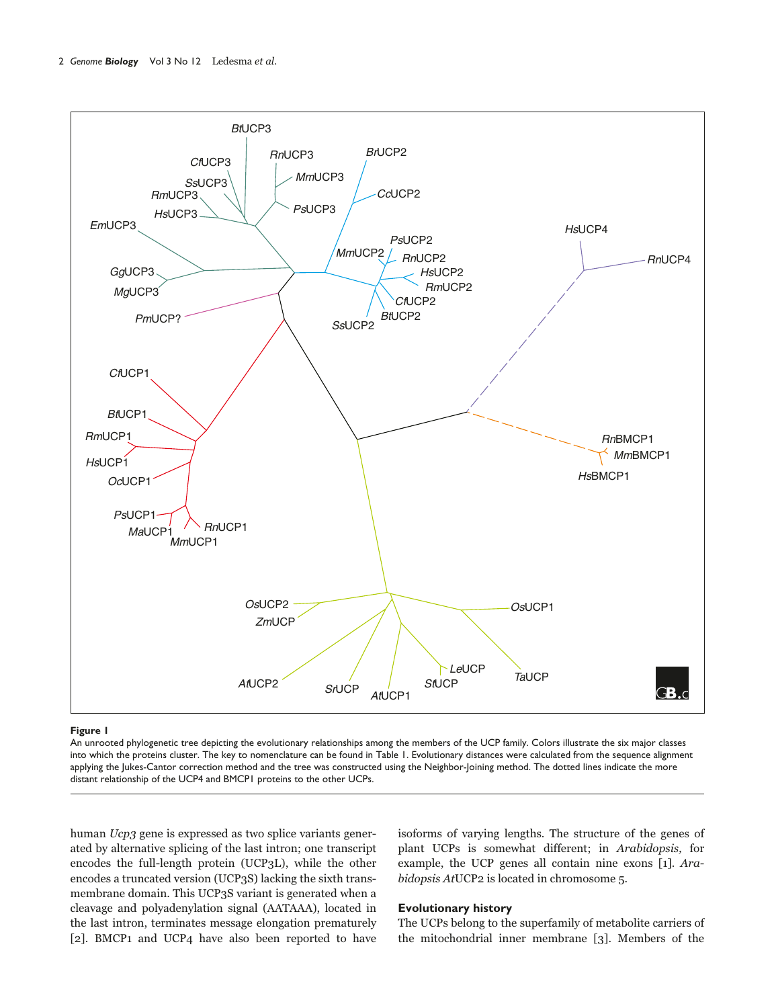

### **Figure 1**

An unrooted phylogenetic tree depicting the evolutionary relationships among the members of the UCP family. Colors illustrate the six major classes into which the proteins cluster. The key to nomenclature can be found in Table 1. Evolutionary distances were calculated from the sequence alignment applying the Jukes-Cantor correction method and the tree was constructed using the Neighbor-Joining method. The dotted lines indicate the more distant relationship of the UCP4 and BMCP1 proteins to the other UCPs.

human Ucp3 gene is expressed as two splice variants generated by alternative splicing of the last intron; one transcript encodes the full-length protein (UCP3L), while the other encodes a truncated version (UCP3S) lacking the sixth transmembrane domain. This UCP3S variant is generated when a cleavage and polyadenylation signal (AATAAA), located in the last intron, terminates message elongation prematurely [2]. BMCP1 and UCP4 have also been reported to have

isoforms of varying lengths. The structure of the genes of plant UCPs is somewhat different; in Arabidopsis, for example, the UCP genes all contain nine exons [1]. Arabidopsis AtUCP2 is located in chromosome 5.

## **Evolutionary history**

The UCPs belong to the superfamily of metabolite carriers of the mitochondrial inner membrane [3]. Members of the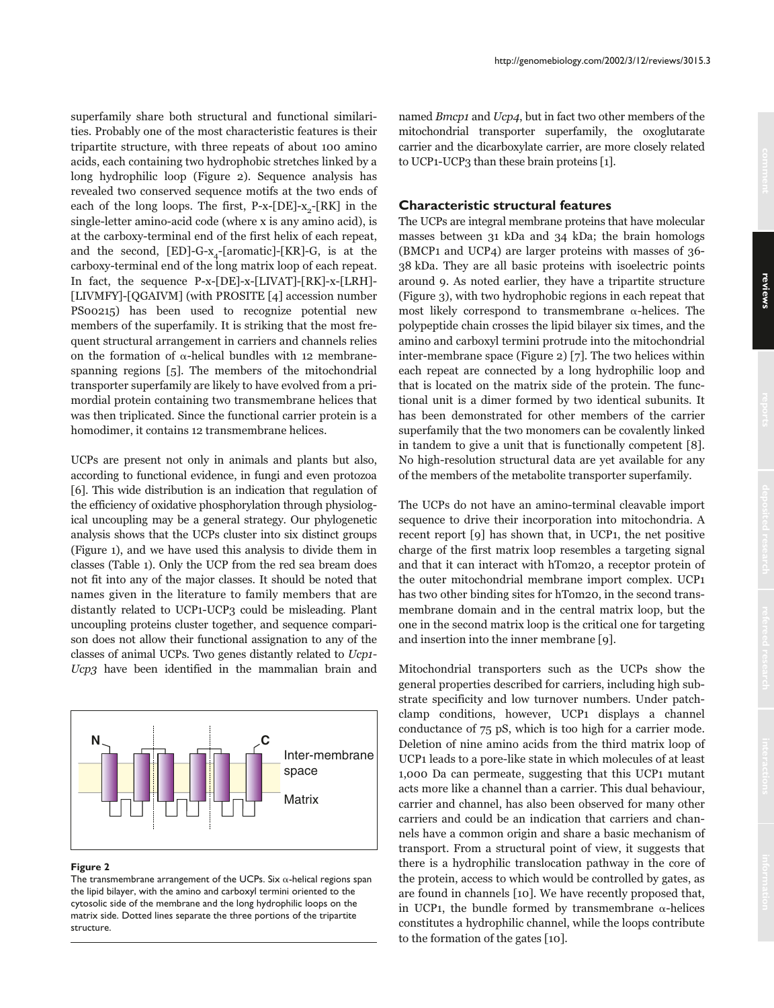superfamily share both structural and functional similarities. Probably one of the most characteristic features is their tripartite structure, with three repeats of about 100 amino acids, each containing two hydrophobic stretches linked by a long hydrophilic loop (Figure 2). Sequence analysis has revealed two conserved sequence motifs at the two ends of each of the long loops. The first, P-x-[DE]- $x_{2}$ -[RK] in the single-letter amino-acid code (where x is any amino acid), is at the carboxy-terminal end of the first helix of each repeat, and the second,  $[ED]$ -G-x<sub>4</sub>-[aromatic]- $[KR]$ -G, is at the carboxy-terminal end of the long matrix loop of each repeat. In fact, the sequence P-x-[DE]-x-[LIVAT]-[RK]-x-[LRH]- [LIVMFY]-[QGAIVM] (with PROSITE [4] accession number PS00215) has been used to recognize potential new members of the superfamily. It is striking that the most frequent structural arrangement in carriers and channels relies on the formation of  $\alpha$ -helical bundles with 12 membranespanning regions [5]. The members of the mitochondrial transporter superfamily are likely to have evolved from a primordial protein containing two transmembrane helices that was then triplicated. Since the functional carrier protein is a homodimer, it contains 12 transmembrane helices.

UCPs are present not only in animals and plants but also, according to functional evidence, in fungi and even protozoa [6]. This wide distribution is an indication that regulation of the efficiency of oxidative phosphorylation through physiological uncoupling may be a general strategy. Our phylogenetic analysis shows that the UCPs cluster into six distinct groups (Figure 1), and we have used this analysis to divide them in classes (Table 1). Only the UCP from the red sea bream does not fit into any of the major classes. It should be noted that names given in the literature to family members that are distantly related to UCP1-UCP3 could be misleading. Plant uncoupling proteins cluster together, and sequence comparison does not allow their functional assignation to any of the classes of animal UCPs. Two genes distantly related to Ucp1- Ucp3 have been identified in the mammalian brain and



## **Figure 2**

The transmembrane arrangement of the UCPs. Six  $\alpha$ -helical regions span the lipid bilayer, with the amino and carboxyl termini oriented to the cytosolic side of the membrane and the long hydrophilic loops on the matrix side. Dotted lines separate the three portions of the tripartite structure.

http://genomebiology.com/2002/3/12/reviews/3015.3

named Bmcp1 and Ucp4, but in fact two other members of the mitochondrial transporter superfamily, the oxoglutarate carrier and the dicarboxylate carrier, are more closely related to UCP1-UCP3 than these brain proteins [1].

# **Characteristic structural features**

The UCPs are integral membrane proteins that have molecular masses between 31 kDa and 34 kDa; the brain homologs (BMCP1 and UCP4) are larger proteins with masses of 36- 38 kDa. They are all basic proteins with isoelectric points around 9. As noted earlier, they have a tripartite structure (Figure 3), with two hydrophobic regions in each repeat that most likely correspond to transmembrane  $\alpha$ -helices. The polypeptide chain crosses the lipid bilayer six times, and the amino and carboxyl termini protrude into the mitochondrial inter-membrane space (Figure 2) [7]. The two helices within each repeat are connected by a long hydrophilic loop and that is located on the matrix side of the protein. The functional unit is a dimer formed by two identical subunits. It has been demonstrated for other members of the carrier superfamily that the two monomers can be covalently linked in tandem to give a unit that is functionally competent [8]. No high-resolution structural data are yet available for any of the members of the metabolite transporter superfamily.

The UCPs do not have an amino-terminal cleavable import sequence to drive their incorporation into mitochondria. A recent report [9] has shown that, in UCP1, the net positive charge of the first matrix loop resembles a targeting signal and that it can interact with hTom20, a receptor protein of the outer mitochondrial membrane import complex. UCP1 has two other binding sites for hTom20, in the second transmembrane domain and in the central matrix loop, but the one in the second matrix loop is the critical one for targeting and insertion into the inner membrane [9].

Mitochondrial transporters such as the UCPs show the general properties described for carriers, including high substrate specificity and low turnover numbers. Under patchclamp conditions, however, UCP1 displays a channel conductance of 75 pS, which is too high for a carrier mode. Deletion of nine amino acids from the third matrix loop of UCP1 leads to a pore-like state in which molecules of at least 1,000 Da can permeate, suggesting that this UCP1 mutant acts more like a channel than a carrier. This dual behaviour, carrier and channel, has also been observed for many other carriers and could be an indication that carriers and channels have a common origin and share a basic mechanism of transport. From a structural point of view, it suggests that there is a hydrophilic translocation pathway in the core of the protein, access to which would be controlled by gates, as are found in channels [10]. We have recently proposed that, in UCP1, the bundle formed by transmembrane  $\alpha$ -helices constitutes a hydrophilic channel, while the loops contribute to the formation of the gates [10].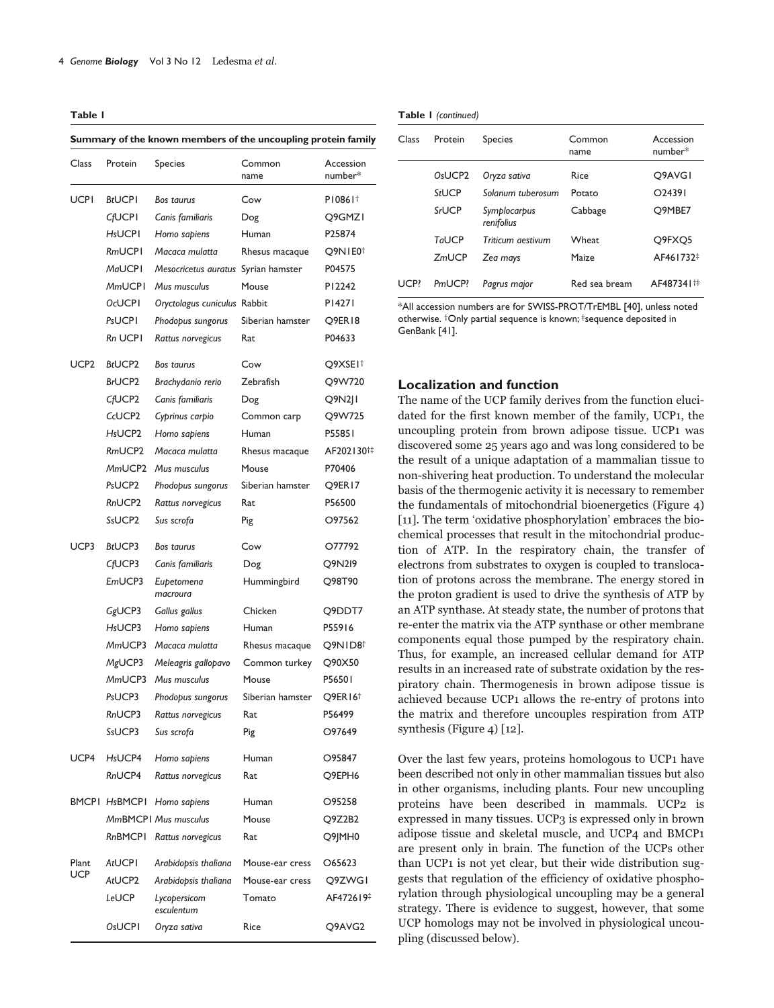**Table 1**

**Summary of the known members of the uncoupling protein family** 

| Class        | Protein                         | Species                      | Common<br>name   | Accession<br>number*   |
|--------------|---------------------------------|------------------------------|------------------|------------------------|
| UCPI         | <b>BtUCPI</b>                   | Bos taurus                   | Cow              | P10861 <sup>+</sup>    |
|              | <b>CfUCPI</b>                   | Canis familiaris             | Dog              | O9GMZI                 |
|              | <b>HsUCPI</b>                   | Homo sapiens                 | Human            | P25874                 |
|              | <b>RmUCPI</b>                   | Macaca mulatta               | Rhesus macaque   | O9NIE0 <sup>†</sup>    |
|              | <b>MaUCPI</b>                   | Mesocricetus auratus         | Syrian hamster   | P04575                 |
|              | <b>MmUCPI</b>                   | Mus musculus                 | Mouse            | P12242                 |
|              | <b>OcUCPI</b>                   | Oryctolagus cuniculus Rabbit |                  | P14271                 |
|              | PsUCPI                          | Phodopus sungorus            | Siberian hamster | Q9ER18                 |
|              | Rn UCPI                         | Rattus norvegicus            | Rat              | P04633                 |
| UCP2         | <b>BtUCP2</b>                   | Bos taurus                   | Cow              | Q9XSEI†                |
|              | <b>BrUCP2</b>                   | Brachydanio rerio            | Zebrafish        | Q9W720                 |
|              | CfUCP2                          | Canis familiaris             | Dog              | Q9N2                   |
|              | CcUCP <sub>2</sub>              | Cyprinus carpio              | Common carp      | Q9W725                 |
|              | H <sub>s</sub> UCP <sub>2</sub> | Homo sapiens                 | Human            | P55851                 |
|              | RmUCP <sub>2</sub>              | Macaca mulatta               | Rhesus macaque   | AF202130 <sup>†‡</sup> |
|              | MmUCP <sub>2</sub>              | Mus musculus                 | Mouse            | P70406                 |
|              | PsUCP <sub>2</sub>              | Phodopus sungorus            | Siberian hamster | Q9ER17                 |
|              | RnUCP <sub>2</sub>              | Rattus norvegicus            | Rat              | P56500                 |
|              | SsUCP <sub>2</sub>              | Sus scrofa                   | Pig              | O97562                 |
| UCP3         | <b>BtUCP3</b>                   | Bos taurus                   | Cow              | O77792                 |
|              | CfUCP3                          | Canis familiaris             | Dog              | Q9N219                 |
|              | EmUCP3                          | Eupetomena<br>macroura       | Hummingbird      | Q98T90                 |
|              | GgUCP3                          | Gallus gallus                | Chicken          | Q9DDT7                 |
|              | H <sub>s</sub> UCP3             | Homo sapiens                 | Human            | P55916                 |
|              | MmUCP3                          | Macaca mulatta               | Rhesus macaque   | Q9NID8 <sup>+</sup>    |
|              | MgUCP3                          | Meleagris gallopavo          | Common turkey    | Q90X50                 |
|              | MmUCP3                          | Mus musculus                 | Mouse            | P56501                 |
|              | PsUCP3                          | Phodopus sungorus            | Siberian hamster | Q9ER16†                |
|              | RnUCP3                          | Rattus norvegicus            | Rat              | P56499                 |
|              | SsUCP3                          | Sus scrofa                   | Pig              | O97649                 |
| UCP4         | H <sub>s</sub> UCP4             | Homo sapiens                 | Human            | O95847                 |
|              | RnUCP4                          | Rattus norvegicus            | Rat              | O9EPH6                 |
|              | BMCPI HsBMCPI                   | Homo sapiens                 | Human            | O95258                 |
|              |                                 | <b>MmBMCPI Mus musculus</b>  | Mouse            | Q9Z2B2                 |
|              | <b>RnBMCPI</b>                  | Rattus norvegicus            | Rat              | Q9JMH0                 |
| Plant<br>UCP | AtUCPI                          | Arabidopsis thaliana         | Mouse-ear cress  | O65623                 |
|              | AtUCP2                          | Arabidopsis thaliana         | Mouse-ear cress  | Q9ZWGI                 |
|              | LeUCP                           | Lycopersicom<br>esculentum   | Tomato           | AF472619 <sup>‡</sup>  |
|              | OsUCPI                          | Oryza sativa                 | Rice             | Q9AVG2                 |

#### **Table 1** *(continued)*

| Class | Protein                         | <b>Species</b>             | Common<br>name | Accession<br>number*            |
|-------|---------------------------------|----------------------------|----------------|---------------------------------|
|       | O <sub>s</sub> UCP <sub>2</sub> | Oryza sativa               | Rice           | O <sub>9</sub> AVG <sub>I</sub> |
|       | StUCP                           | Solanum tuberosum          | Potato         | $O$ 24391                       |
|       | <b>SrUCP</b>                    | Symplocarpus<br>renifolius | Cabbage        | Q9MBE7                          |
|       | Tal JCP                         | Triticum aestivum          | Wheat          | O9FXO5                          |
|       | ZmUCP                           | Zea mays                   | Maize          | AF461732 <sup>‡</sup>           |
| UCP?  | PmUCP?                          | Pagrus major               | Red sea bream  | AF487341#                       |

\*All accession numbers are for SWISS-PROT/TrEMBL [40], unless noted otherwise. †Only partial sequence is known; ‡sequence deposited in GenBank [41].

## **Localization and function**

The name of the UCP family derives from the function elucidated for the first known member of the family, UCP1, the uncoupling protein from brown adipose tissue. UCP1 was discovered some 25 years ago and was long considered to be the result of a unique adaptation of a mammalian tissue to non-shivering heat production. To understand the molecular basis of the thermogenic activity it is necessary to remember the fundamentals of mitochondrial bioenergetics (Figure 4) [11]. The term 'oxidative phosphorylation' embraces the biochemical processes that result in the mitochondrial production of ATP. In the respiratory chain, the transfer of electrons from substrates to oxygen is coupled to translocation of protons across the membrane. The energy stored in the proton gradient is used to drive the synthesis of ATP by an ATP synthase. At steady state, the number of protons that re-enter the matrix via the ATP synthase or other membrane components equal those pumped by the respiratory chain. Thus, for example, an increased cellular demand for ATP results in an increased rate of substrate oxidation by the respiratory chain. Thermogenesis in brown adipose tissue is achieved because UCP1 allows the re-entry of protons into the matrix and therefore uncouples respiration from ATP synthesis (Figure 4) [12].

Over the last few years, proteins homologous to UCP1 have been described not only in other mammalian tissues but also in other organisms, including plants. Four new uncoupling proteins have been described in mammals. UCP2 is expressed in many tissues. UCP3 is expressed only in brown adipose tissue and skeletal muscle, and UCP4 and BMCP1 are present only in brain. The function of the UCPs other than UCP1 is not yet clear, but their wide distribution suggests that regulation of the efficiency of oxidative phosphorylation through physiological uncoupling may be a general strategy. There is evidence to suggest, however, that some UCP homologs may not be involved in physiological uncoupling (discussed below).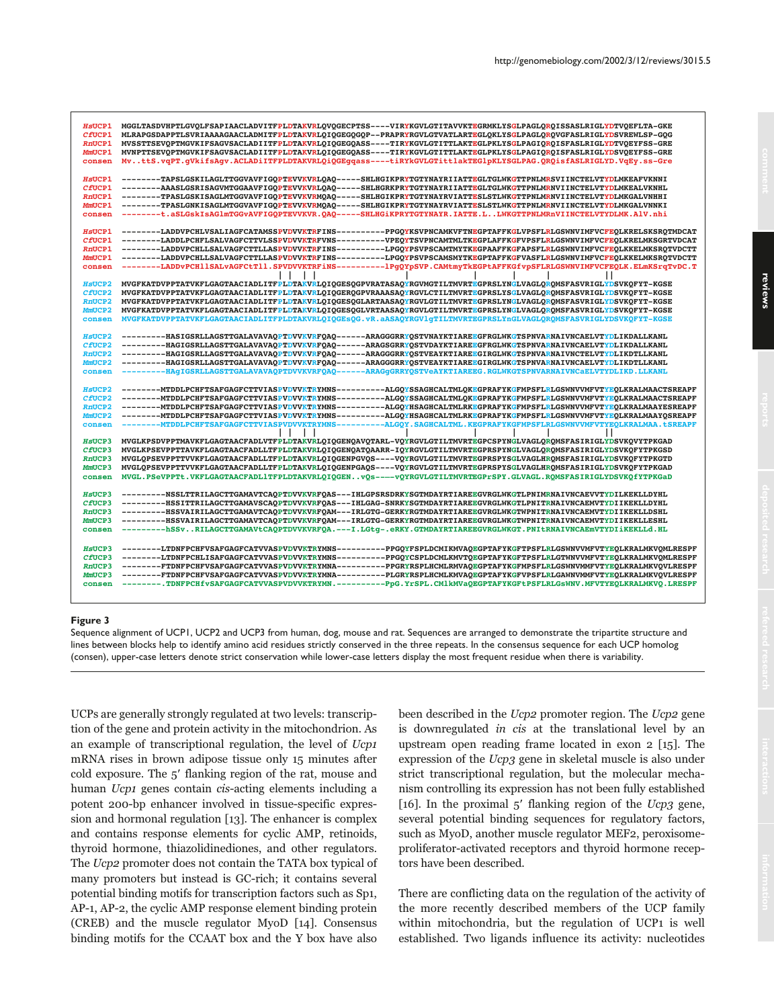| HSUCP1                  | MGGLTASDVHPTLGVQLFSAPIAACLADVITFPLDTAKVRLQVQGECPTSS----VIRYKGVLGTITAVVKTEGRMKLYSGLPAGLQRQISSASLRIGLYDTVQEFLTA-GKE                                                                                                                      |
|-------------------------|----------------------------------------------------------------------------------------------------------------------------------------------------------------------------------------------------------------------------------------|
| CfUCP1                  | MLRAPGSDAPPTLSVRIAAAAGAACLADMITFPLDTAKVRLQIQGEGQGQP--PRAPRYRGVLGTVATLARTEGLQKLYSGLPAGLQRQVGFASLRIGLYDSVREWLSP-GQG                                                                                                                      |
| RnUCP1                  | MVSSTTSEVOPTMGVKIFSAGVSACLADIITFPLDTAKVRLOIOGEGOASS----TIRYKGVLGTITTLAKTEGLPKLYSGLPAGIOROISFASLRIGLYDTVOEYFSS-GRE                                                                                                                      |
| MmUCP1                  | MVNPTTSEVQPTMGVKIFSAGVSACLADIITFPLDTAKVRLQIQGEGQASS----TIRYKGVLGTITTLAKTEGLPKLYSGLPAGIQRQISFASLRIGLYDSVQEYFSS-GRE                                                                                                                      |
| consen                  | MvttS.vqPT.qVkifsAqv.ACLADiITFPLDTAKVRLQiQGEqqass----tiRYkGVLGTittlakTEGlpKLYSGLPAG.QRQisfASLRIGLYD.VqEy.ss-Gre                                                                                                                        |
|                         |                                                                                                                                                                                                                                        |
| HSUCP1                  | --------TAPSLGSKILAGLTTGGVAVFIGOPTEVVKVRLOAO-----SHLHGIKPRYTGTYNAYRIIATTEGLTGLWKGTTPNLMRSVIINCTELVTYDLMKEAFVKNNI                                                                                                                       |
| CfUCP1                  | ---------AAASLGSRISAGVMTGGAAVFIGQPTEVVKVRLQAQ-----SHLHGRKPRYTGTYNAYRIIATTEGLTGLWKGTTPNLMRNVIINCTELVTYDLMKEALVKNHL                                                                                                                      |
| <b>RnUCP1</b>           | --------TPASLGSKISAGLMTGGVAVFIGOPTEVVKVRMOAO-----SHLHGIKPRYTGTYNAYRVIATTESLSTLWKGTTPNLMRNVIINCTELVTYDLMKGALVNHHI                                                                                                                       |
| MmUCP1                  | --------TPASLGNKISAGLMTGGVAVFIGQPTEVVKVRMQAQ-----SHLHGIKPRYTGTYNAYRVIATTESLSTLWKGTTPNLMRNVIINCTELVTYDLMKGALVNNKI                                                                                                                       |
| consen                  | --------t.aSLGskIsAGlmTGGvAVFIGQPTEVVKVR.QAQ-----SHLHGiKPRYTGTYNAYR.IATTE.LLWKGTTPNLMRnVIINCTELVTYDLMK.AlV.nhi                                                                                                                         |
|                         |                                                                                                                                                                                                                                        |
| HSUCP1                  | --------LADDVPCHLVSALIAGFCATAMSSPVDVVKTRFINS---------PPGQYKSVPNCAMKVFTNEGPTAFFKGLVPSFLRLGSWNVIMFVCFEQLKRELSKSRQTMDCAT                                                                                                                  |
| CfUCP1                  | --------LADDLPCHFLSALVAGFCTTVLSSPVDVVKTRFVNS----------VPEOYTSVPNCAMTMLTKEGPLAFFKGFVPSFLRLGSWNVIMFVCFEOLKRELMKSGRTVDCAT                                                                                                                 |
| <b>RnUCP1</b>           | --------LADDVPCHLLSALVAGFCTTLLASPVDVVKTRFINS---------LPGQYPSVPSCAMTMYTK <mark>E</mark> GPAAFFKGFAPSFLRLGSWNVIMFVCFEQLKKELMKSRQTVDCTT                                                                                                   |
| MmUCP1                  | --------LADDVPCHLLSALVAGFCTTLLASPVDVVKTRFINS----------LPGOYPSVPSCAMSMYTKEGPTAFFKGFVASFLRLGSWNVIMFVCFEOLKKELMKSROTVDCTT                                                                                                                 |
| consen                  | --------LADDvPCHllSALvAGFCtTll.SPVDVVKTRFiNS-----------PqQYpSVP.CAMtmyTkEGPtAFFKGfvpSFLRLGSWNVIMFVCFEQLK.ELmKSrqTvDC.T                                                                                                                 |
|                         |                                                                                                                                                                                                                                        |
| <b>HSUCP2</b>           | MVGFKATDVPPTATVKFLGAGTAACIADLITFPLDTAKVRLQIQGESQGPVRATASAQYRGVMGTILTMVRTEGPRSLYNGLVAGLQRQMSFASVRIGLYDSVKQFYT-KGSE                                                                                                                      |
| CfUCP <sub>2</sub>      | MVGFKATDVPPTATVKFLGAGTAACIADLITFPLDTAKVRLQIQGERQGPVRAAASAQYRGVLCTILTMVRTEGPRSLYSGLVAGLQRQMSFASVRIGLYDSVKQFYT-KGSE<br>MVGFKATDVPPTATVKFLGAGTAACIADLITFPLDTAKVRLOIOGESOGLARTAASAOYRGVLGTILTMVRTEGPRSLYNGLVAGLOROMSFASVRIGLYDSVKOFYT-KGSE |
| <b>RnUCP2</b><br>MmUCP2 | MVGFKATDVPPTATVKFLGAGTAACIADLITFPLDTAKVRLQIQGESQGLVRTAASAQYRGVLGTILTMVRTEGPRSLYNGLVAGLQRQMSFASVRIGLYDSVKQFYT-KGSE                                                                                                                      |
| consen                  | MVGFKATDVPPTATVKFLGAGTAACIADLITFPLDTAKVRLQIQGEsQG.vR.aASAQYRGVlqTILTMVRTEGPRSLYnGLVAGLQRQMSFASVRIGLYDSVKQFYT-KGSE                                                                                                                      |
|                         |                                                                                                                                                                                                                                        |
| <b>HSUCP2</b>           | --------HASIGSRLLAGSTTGALAVAVAQPTDVVKVRFQAQ------ARAGGGRRYQSTVNAYKTIAREEGFRGLWKGTSPNVARNAIVNCAELVTYDLIKDALLKANL                                                                                                                        |
| CfUCP <sub>2</sub>      | --------HAGIGSRLLAGSTTGALAVAVAQPTDVVKVRFQAQ------ARAGSGRRYQSTVDAYKTIAREEGFRGLWKGTSPNVARNAIVNCAELVTYDLIKDALLKANL                                                                                                                        |
| <b>RnUCP2</b>           | ---------HAGIGSRLLAGSTTGALAVAVAQPTDVVKVRFQAQ------ARAGGGRRYQSTVEAYKTIAREEGIRGLWKGTSPNVARNAIVNCTELVTYDLIKDTLLKANL                                                                                                                       |
| MmUCP2                  | ---------HAGIGSRLLAGSTTGALAVAVAQPTDVVKVRFQAQ------ARAGGGRRYQSTVEAYKTIAREEGIRGLWKGTSPNVARNAIVNCAELVTYDLIKDTLLKANL                                                                                                                       |
| consen                  | -HAqIGSRLLAGSTTGALAVAVAQPTDVVKVRFQAQ------ARAGqGRRYQSTVeAYKTIAREEG.RGLWKGTSPNVARNAIVNCaELVTYDLIKD.LLKANL                                                                                                                               |
|                         |                                                                                                                                                                                                                                        |
| <b>HsUCP2</b>           | --------MTDDLPCHFTSAFGAGFCTTVIASPVDVVKTRYMNS---------ALGQYSSAGHCALTMLQKEGPRAFYKGFMPSFLRLGSWNVVMFVTYEQLKRALMAACTSREAPF                                                                                                                  |
| CfUCP <sub>2</sub>      | --------MTDDLPCHFTSAFGAGFCTTVIASPVDVVKTRYMNS---------ALGQYSSAGHCALTMLQKEGPRAFYKGFMPSFLRLGSWNVVMFVTYEQLKRALMAACTSREAPF                                                                                                                  |
| <b>RnUCP2</b>           | --------MTDDLPCHFTSAFGAGFCTTVIASPVDVVKTRYMNS---------ALGQYHSAGHCALTMLRKEGPRAFYKGFMPSFLRLGSWNVVMFVTYEQLKRALMAAYESREAPF                                                                                                                  |
| MmUCP2                  | --------MTDDLPCHFTSAFGAGFCTTVIASPVDVVKTRYMNS---------ALGQYHSAGHCALTMLRKEGPRAFYKGFMPSFLRLGSWNVVMFVTYEQLKRALMAAYQSREAPF                                                                                                                  |
| consen                  | ---------MTDDLPCHFTSAFGAGFCTTVIASPVDVVKTRYMNS---------ALGOY.SAGHCALTML.KEGPRAFYKGFMPSFLRLGSWNVVMFVTYEOLKRALMAA.tSREAPF                                                                                                                 |
|                         |                                                                                                                                                                                                                                        |
| HsUCP3<br>CfUCP3        | MVGLKPSDVPPTMAVKFLGAGTAACFADLVTFPLDTAKVRLQIQGENQAVQTARL-VQYRGVLGTILTMVRTEGPCSPYNGLVAGLQRQMSFASIRIGLYDSVKQVYTPKGAD<br>MVGLKPSEVPPTTAVKFLGAGTAACFADLLTFPLDTAKVRLQIQGENQATQAARR-IQYRGVLGTILTMVRTEGPRSPYNGLVAGLQRQMSFASIRIGLYDSVKQFYTPKGSD |
| RnUCP3                  | MVGLQPSEVPPTTVVKFLGAGTAACFADLLTFPLDTAKVRLQIQGENPGVQS----VQYRGVLGTILTMVRTEGPRSPYSGLVAGLHRQMSFASIRIGLYDSVKQFYTPKGTD                                                                                                                      |
| MmUCP3                  | MVGLQPSEVPPTTVVKFLGAGTAACFADLLTFPLDTAKVRLQIQGENPGAQS----VQYRGVLGTILTMVRTEGPRSPYSGLVAGLHRQMSFASIRIGLYDSVKQFYTPKGAD                                                                                                                      |
| consen                  | MVGL.PSeVPPTt.VKFLGAGTAACFADL1TFPLDTAKVRLQIQGENvQs-----vQYRGVLGTILTMVRTEGPrSPY.GLVAGL.RQMSFASIRIGLYDSVKQfYTPKGaD                                                                                                                       |
|                         |                                                                                                                                                                                                                                        |
| HSUCP3                  | ---------NSSLTTRILAGCTTGAMAVTCAQPTDVVKVRFQAS---IHLGPSRSDRKYSGTMDAYRTIAREEGVRGLWKGTLPNIMRNAIVNCAEVVTYDILKEKLLDYHL                                                                                                                       |
| CfUCP3                  | ---------HSSITTRILAGCTTGAMAVSCAQPTDVVKVRFQAS---IHLGAG-SNRKYSGTMDAYRTIAREEGVRGLWKGTLPNITRNAIVNCAEMVTYDIIKEKLLDYHL                                                                                                                       |
| RnUCP3                  | ---------HSSVAIRILAGCTTGAMAVTCAQPTDVVKVRFQAM---IRLGTG-GERKYRGTMDAYRTIAREEGVRGLWKGTWPNITRNAIVNCAEMVTYDIIKEKLLDSHL                                                                                                                       |
| MmUCP3                  | ---------HSSVAIRILAGCTTGAMAVTCAQPTDVVKVRFQAM---IRLGTG-GERKYRGTMDAYRTIAREEGVRGLWKGTWPNITRNAIVNCAEMVTYDIIKEKLLESHL                                                                                                                       |
| consen                  | ---------hSSvRILAGCTTGAMAVtCAQPTDVVKVRFQA.---I.LGtq-.eRKY.GTMDAYRTIAREEGVRGLWKGT.PNItRNAIVNCAEmVTYDIiKEKLLd.HL                                                                                                                         |
|                         |                                                                                                                                                                                                                                        |
| HsUCP3                  | --------LTDNFPCHFVSAFGAGFCATVVASPVDVVKTRYMNS----------PPGOYFSPLDCMIKMVAOEGPTAFYKGFTPSFLRLGSWNVVMFVTYEOLKRALMKVOMLRESPF                                                                                                                 |
| CfUCP3                  | --------LTDNFPCHLISAFGAGFCATVVASPVDVVKTRYMNS----------PPGQYCSPLDCMLKMVTQEGPTAFYKGFTPSFLRLGTWNVVMFVTYEQLKRALMKVQMLRESPF                                                                                                                 |
| RnUCP3                  | --------FTDNFPCHFVSAFGAGFCATVVASPVDVVKTRYMNA---------PPGRYRSPLHCMLRMVAQEGPTAFYKGFMPSFLRLGSWNVMMFVTYEQLKRALMKVQVLRESPF                                                                                                                  |
| MmUCP3                  | --------FTDNFPCHFVSAFGAGFCATVVASPVDVVKTRYMNA---------PLGRYRSPLHCMLKMVAQEGPTAFYKGFVPSFLRLGAWNVMMFVTYEQLKRALMKVQVLRESPF                                                                                                                  |
| consen                  | --------.TDNFPCHfvSAFGAGFCATVVASPVDVVKTRYMN.----------PpG.YrSPL.CMlkMVaQEGPTAFYKGFtPSFLRLGsWNV.MFVTYEQLKRALMKVQ.LRESPF                                                                                                                 |

#### **Figure 3**

Sequence alignment of UCP1, UCP2 and UCP3 from human, dog, mouse and rat. Sequences are arranged to demonstrate the tripartite structure and lines between blocks help to identify amino acid residues strictly conserved in the three repeats. In the consensus sequence for each UCP homolog (consen), upper-case letters denote strict conservation while lower-case letters display the most frequent residue when there is variability.

UCPs are generally strongly regulated at two levels: transcription of the gene and protein activity in the mitochondrion. As an example of transcriptional regulation, the level of Ucp1 mRNA rises in brown adipose tissue only 15 minutes after cold exposure. The 5' flanking region of the rat, mouse and human Ucp1 genes contain cis-acting elements including a potent 200-bp enhancer involved in tissue-specific expression and hormonal regulation [13]. The enhancer is complex and contains response elements for cyclic AMP, retinoids, thyroid hormone, thiazolidinediones, and other regulators. The Ucp2 promoter does not contain the TATA box typical of many promoters but instead is GC-rich; it contains several potential binding motifs for transcription factors such as Sp1, AP-1, AP-2, the cyclic AMP response element binding protein (CREB) and the muscle regulator MyoD [14]. Consensus binding motifs for the CCAAT box and the Y box have also

been described in the Ucp2 promoter region. The Ucp2 gene is downregulated in cis at the translational level by an upstream open reading frame located in exon 2 [15]. The expression of the Ucp3 gene in skeletal muscle is also under strict transcriptional regulation, but the molecular mechanism controlling its expression has not been fully established [16]. In the proximal  $5'$  flanking region of the Ucp3 gene, several potential binding sequences for regulatory factors, such as MyoD, another muscle regulator MEF2, peroxisomeproliferator-activated receptors and thyroid hormone receptors have been described.

There are conflicting data on the regulation of the activity of the more recently described members of the UCP family within mitochondria, but the regulation of UCP1 is well established. Two ligands influence its activity: nucleotides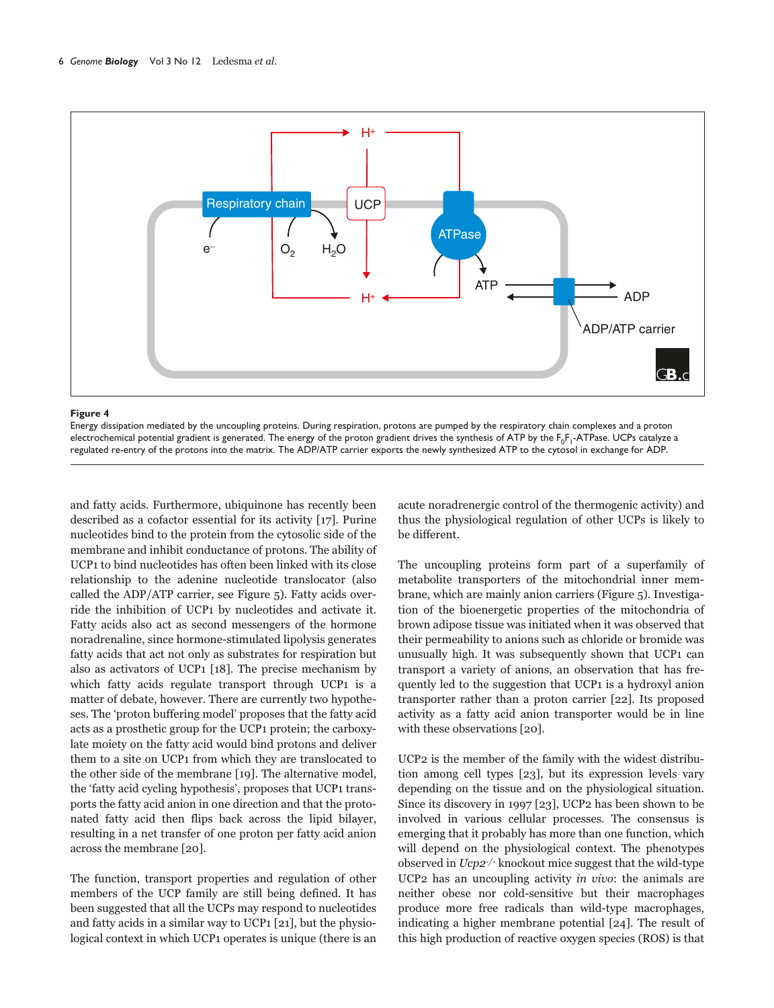

### **Figure 4**

Energy dissipation mediated by the uncoupling proteins. During respiration, protons are pumped by the respiratory chain complexes and a proton electrochemical potential gradient is generated. The energy of the proton gradient drives the synthesis of ATP by the F<sub>0</sub>F<sub>1</sub>-ATPase. UCPs catalyze a regulated re-entry of the protons into the matrix. The ADP/ATP carrier exports the newly synthesized ATP to the cytosol in exchange for ADP.

and fatty acids. Furthermore, ubiquinone has recently been described as a cofactor essential for its activity [17]. Purine nucleotides bind to the protein from the cytosolic side of the membrane and inhibit conductance of protons. The ability of UCP1 to bind nucleotides has often been linked with its close relationship to the adenine nucleotide translocator (also called the ADP/ATP carrier, see Figure 5). Fatty acids override the inhibition of UCP1 by nucleotides and activate it. Fatty acids also act as second messengers of the hormone noradrenaline, since hormone-stimulated lipolysis generates fatty acids that act not only as substrates for respiration but also as activators of UCP1 [18]. The precise mechanism by which fatty acids regulate transport through UCP1 is a matter of debate, however. There are currently two hypotheses. The 'proton buffering model' proposes that the fatty acid acts as a prosthetic group for the UCP1 protein; the carboxylate moiety on the fatty acid would bind protons and deliver them to a site on UCP1 from which they are translocated to the other side of the membrane [19]. The alternative model, the 'fatty acid cycling hypothesis', proposes that UCP1 transports the fatty acid anion in one direction and that the protonated fatty acid then flips back across the lipid bilayer, resulting in a net transfer of one proton per fatty acid anion across the membrane [20].

The function, transport properties and regulation of other members of the UCP family are still being defined. It has been suggested that all the UCPs may respond to nucleotides and fatty acids in a similar way to UCP1 [21], but the physiological context in which UCP1 operates is unique (there is an

acute noradrenergic control of the thermogenic activity) and thus the physiological regulation of other UCPs is likely to be different.

The uncoupling proteins form part of a superfamily of metabolite transporters of the mitochondrial inner membrane, which are mainly anion carriers (Figure 5). Investigation of the bioenergetic properties of the mitochondria of brown adipose tissue was initiated when it was observed that their permeability to anions such as chloride or bromide was unusually high. It was subsequently shown that UCP1 can transport a variety of anions, an observation that has frequently led to the suggestion that UCP1 is a hydroxyl anion transporter rather than a proton carrier [22]. Its proposed activity as a fatty acid anion transporter would be in line with these observations [20].

UCP2 is the member of the family with the widest distribution among cell types [23], but its expression levels vary depending on the tissue and on the physiological situation. Since its discovery in 1997 [23], UCP2 has been shown to be involved in various cellular processes. The consensus is emerging that it probably has more than one function, which will depend on the physiological context. The phenotypes observed in  $Ucp2^{-/-}$  knockout mice suggest that the wild-type UCP2 has an uncoupling activity in vivo: the animals are neither obese nor cold-sensitive but their macrophages produce more free radicals than wild-type macrophages, indicating a higher membrane potential [24]. The result of this high production of reactive oxygen species (ROS) is that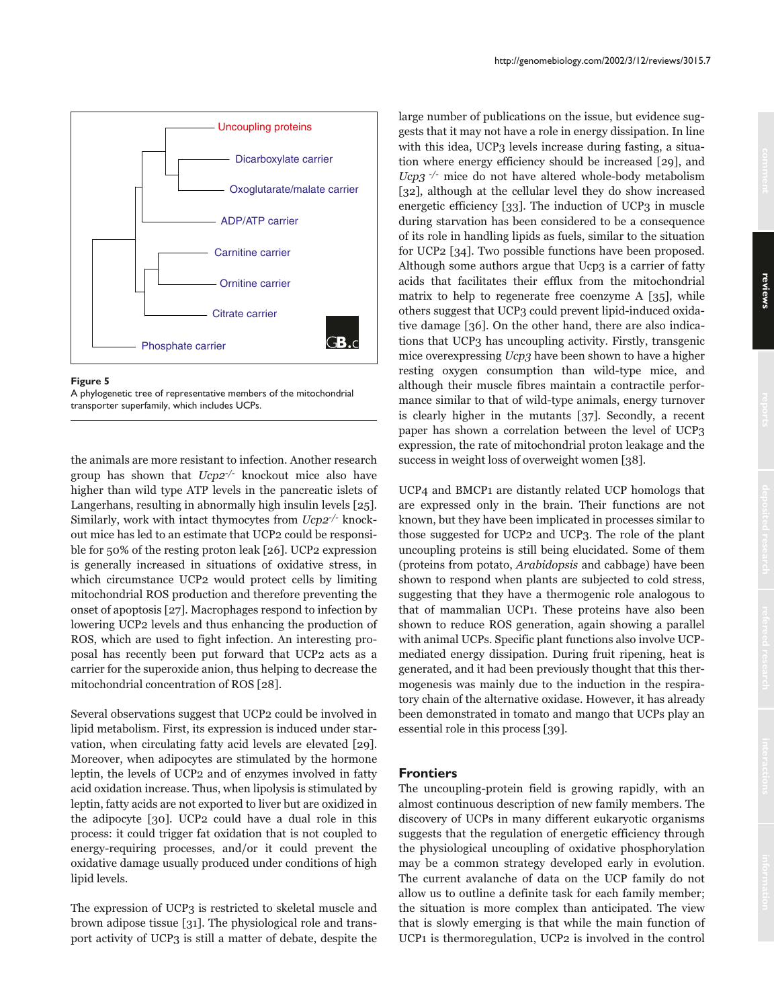

**Figure 5**

A phylogenetic tree of representative members of the mitochondrial transporter superfamily, which includes UCPs.

the animals are more resistant to infection. Another research group has shown that  $Ucp2^{-/-}$  knockout mice also have higher than wild type ATP levels in the pancreatic islets of Langerhans, resulting in abnormally high insulin levels [25]. Similarly, work with intact thymocytes from Ucp2-/- knockout mice has led to an estimate that UCP2 could be responsible for 50% of the resting proton leak [26]. UCP2 expression is generally increased in situations of oxidative stress, in which circumstance UCP2 would protect cells by limiting mitochondrial ROS production and therefore preventing the onset of apoptosis [27]. Macrophages respond to infection by lowering UCP2 levels and thus enhancing the production of ROS, which are used to fight infection. An interesting proposal has recently been put forward that UCP2 acts as a carrier for the superoxide anion, thus helping to decrease the mitochondrial concentration of ROS [28].

Several observations suggest that UCP2 could be involved in lipid metabolism. First, its expression is induced under starvation, when circulating fatty acid levels are elevated [29]. Moreover, when adipocytes are stimulated by the hormone leptin, the levels of UCP2 and of enzymes involved in fatty acid oxidation increase. Thus, when lipolysis is stimulated by leptin, fatty acids are not exported to liver but are oxidized in the adipocyte [30]. UCP2 could have a dual role in this process: it could trigger fat oxidation that is not coupled to energy-requiring processes, and/or it could prevent the oxidative damage usually produced under conditions of high lipid levels.

The expression of UCP3 is restricted to skeletal muscle and brown adipose tissue [31]. The physiological role and transport activity of UCP3 is still a matter of debate, despite the large number of publications on the issue, but evidence suggests that it may not have a role in energy dissipation. In line with this idea, UCP3 levels increase during fasting, a situation where energy efficiency should be increased [29], and Ucp3  $\sqrt{2}$  mice do not have altered whole-body metabolism [32], although at the cellular level they do show increased energetic efficiency [33]. The induction of UCP3 in muscle during starvation has been considered to be a consequence of its role in handling lipids as fuels, similar to the situation for UCP2 [34]. Two possible functions have been proposed. Although some authors argue that Ucp3 is a carrier of fatty acids that facilitates their efflux from the mitochondrial matrix to help to regenerate free coenzyme A [35], while others suggest that UCP3 could prevent lipid-induced oxidative damage [36]. On the other hand, there are also indications that UCP3 has uncoupling activity. Firstly, transgenic mice overexpressing Ucp3 have been shown to have a higher resting oxygen consumption than wild-type mice, and although their muscle fibres maintain a contractile performance similar to that of wild-type animals, energy turnover is clearly higher in the mutants [37]. Secondly, a recent paper has shown a correlation between the level of UCP3 expression, the rate of mitochondrial proton leakage and the success in weight loss of overweight women [38].

UCP4 and BMCP1 are distantly related UCP homologs that are expressed only in the brain. Their functions are not known, but they have been implicated in processes similar to those suggested for UCP2 and UCP3. The role of the plant uncoupling proteins is still being elucidated. Some of them (proteins from potato, Arabidopsis and cabbage) have been shown to respond when plants are subjected to cold stress, suggesting that they have a thermogenic role analogous to that of mammalian UCP1. These proteins have also been shown to reduce ROS generation, again showing a parallel with animal UCPs. Specific plant functions also involve UCPmediated energy dissipation. During fruit ripening, heat is generated, and it had been previously thought that this thermogenesis was mainly due to the induction in the respiratory chain of the alternative oxidase. However, it has already been demonstrated in tomato and mango that UCPs play an essential role in this process [39].

## **Frontiers**

The uncoupling-protein field is growing rapidly, with an almost continuous description of new family members. The discovery of UCPs in many different eukaryotic organisms suggests that the regulation of energetic efficiency through the physiological uncoupling of oxidative phosphorylation may be a common strategy developed early in evolution. The current avalanche of data on the UCP family do not allow us to outline a definite task for each family member; the situation is more complex than anticipated. The view that is slowly emerging is that while the main function of UCP1 is thermoregulation, UCP2 is involved in the control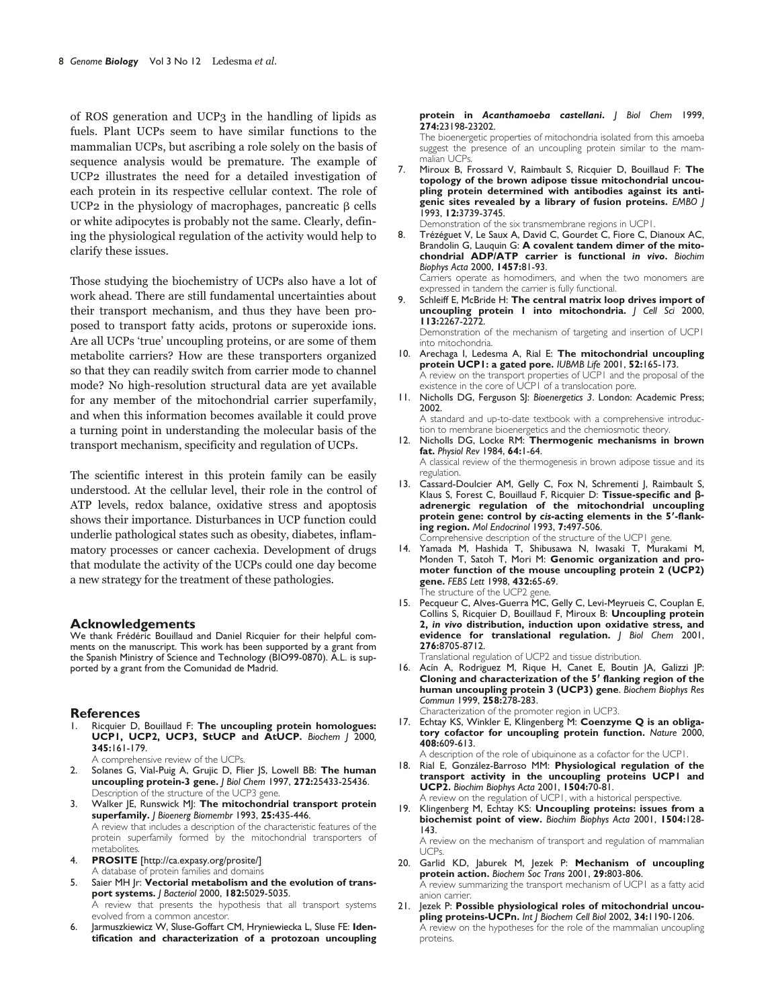of ROS generation and UCP3 in the handling of lipids as fuels. Plant UCPs seem to have similar functions to the mammalian UCPs, but ascribing a role solely on the basis of sequence analysis would be premature. The example of UCP2 illustrates the need for a detailed investigation of each protein in its respective cellular context. The role of UCP2 in the physiology of macrophages, pancreatic  $\beta$  cells or white adipocytes is probably not the same. Clearly, defining the physiological regulation of the activity would help to clarify these issues.

Those studying the biochemistry of UCPs also have a lot of work ahead. There are still fundamental uncertainties about their transport mechanism, and thus they have been proposed to transport fatty acids, protons or superoxide ions. Are all UCPs 'true' uncoupling proteins, or are some of them metabolite carriers? How are these transporters organized so that they can readily switch from carrier mode to channel mode? No high-resolution structural data are yet available for any member of the mitochondrial carrier superfamily, and when this information becomes available it could prove a turning point in understanding the molecular basis of the transport mechanism, specificity and regulation of UCPs.

The scientific interest in this protein family can be easily understood. At the cellular level, their role in the control of ATP levels, redox balance, oxidative stress and apoptosis shows their importance. Disturbances in UCP function could underlie pathological states such as obesity, diabetes, inflammatory processes or cancer cachexia. Development of drugs that modulate the activity of the UCPs could one day become a new strategy for the treatment of these pathologies.

## **Acknowledgements**

We thank Frédéric Bouillaud and Daniel Ricquier for their helpful comments on the manuscript. This work has been supported by a grant from the Spanish Ministry of Science and Technology (BIO99-0870). A.L. is supported by a grant from the Comunidad de Madrid.

#### **References**

- 1. Ricquier D, Bouillaud F: **The uncoupling protein homologues: UCP1, UCP2, UCP3, StUCP and AtUCP.** *Biochem J* 2000*,* **345:**161-179.
	- A comprehensive review of the UCPs.
- 2. Solanes G, Vial-Puig A, Grujic D, Flier JS, Lowell BB: **The human uncoupling protein-3 gene.** *J Biol Chem* 1997, **272:**25433-25436. Description of the structure of the UCP3 gene.
- 3. Walker JE, Runswick MJ: **The mitochondrial transport protein superfamily.** *J Bioenerg Biomembr* 1993, **25:**435-446. A review that includes a description of the characteristic features of the protein superfamily formed by the mitochondrial transporters of metabolites.
- 4. **PROSITE** [http://ca.expasy.org/prosite/] A database of protein families and domains
- 5. Saier MH Jr: **Vectorial metabolism and the evolution of transport systems.** *J Bacteriol* 2000, **182:**5029-5035. A review that presents the hypothesis that all transport systems evolved from a common ancestor.
- 6. Jarmuszkiewicz W, Sluse-Goffart CM, Hryniewiecka L, Sluse FE: **Identification and characterization of a protozoan uncoupling**

#### **protein in** *Acanthamoeba castellani***.** *J Biol Chem* 1999, **274:**23198-23202.

The bioenergetic properties of mitochondria isolated from this amoeba suggest the presence of an uncoupling protein similar to the mammalian UCPs.

7. Miroux B, Frossard V, Raimbault S, Ricquier D, Bouillaud F: **The topology of the brown adipose tissue mitochondrial uncoupling protein determined with antibodies against its antigenic sites revealed by a library of fusion proteins.** *EMBO J* 1993, **12:**3739-3745.

Demonstration of the six transmembrane regions in UCP1.

8. Trézéguet V, Le Saux A, David C, Gourdet C, Fiore C, Dianoux AC, Brandolin G, Lauquin G: **A covalent tandem dimer of the mitochondrial ADP/ATP carrier is functional** *in vivo***.** *Biochim Biophys Acta* 2000, **1457:**81-93.

Carriers operate as homodimers, and when the two monomers are expressed in tandem the carrier is fully functional.

- 9. Schleiff E, McBride H: **The central matrix loop drives import of uncoupling protein 1 into mitochondria.** *J Cell Sci* 2000, **113:**2267-2272. Demonstration of the mechanism of targeting and insertion of UCP1 into mitochondria.
- 10. Arechaga I, Ledesma A, Rial E: **The mitochondrial uncoupling protein UCP1: a gated pore.** *IUBMB Life* 2001, **52:**165-173. A review on the transport properties of UCP1 and the proposal of the existence in the core of UCP1 of a translocation pore.
- 11. Nicholls DG, Ferguson SJ: *Bioenergetics 3*. London: Academic Press; 2002.

A standard and up-to-date textbook with a comprehensive introduction to membrane bioenergetics and the chemiosmotic theory.

- 12. Nicholls DG, Locke RM: **Thermogenic mechanisms in brown fat.** *Physiol Rev* 1984, **64:**1-64. A classical review of the thermogenesis in brown adipose tissue and its regulation.
- 13. Cassard-Doulcier AM, Gelly C, Fox N, Schrementi J, Raimbault S, Klaus S, Forest C, Bouillaud F, Ricquier D: Tissue-specific and  $\beta$ **adrenergic regulation of the mitochondrial uncoupling protein gene: control by** *cis***-acting elements in the 5-flanking region.** *Mol Endocrinol* 1993, **7:**497-506.

Comprehensive description of the structure of the UCP1 gene.

- 14. Yamada M, Hashida T, Shibusawa N, Iwasaki T, Murakami M, Monden T, Satoh T, Mori M: **Genomic organization and promoter function of the mouse uncoupling protein 2 (UCP2) gene.** *FEBS Lett* 1998, **432:**65-69. The structure of the UCP2 gene.
- 15. Pecqueur C, Alves-Guerra MC, Gelly C, Levi-Meyrueis C, Couplan E, Collins S, Ricquier D, Bouillaud F, Miroux B: **Uncoupling protein 2,** *in vivo* **distribution, induction upon oxidative stress, and evidence for translational regulation.** *J Biol Chem* 2001, **276:**8705-8712.

Translational regulation of UCP2 and tissue distribution.

16. Acín A, Rodriguez M, Rique H, Canet E, Boutin JA, Galizzi JP: **Cloning and characterization of the 5 flanking region of the human uncoupling protein 3 (UCP3) gene**. *Biochem Biophys Res Commun* 1999, **258:**278-283.

Characterization of the promoter region in UCP3.

17. Echtay KS, Winkler E, Klingenberg M: **Coenzyme Q is an obligatory cofactor for uncoupling protein function.** *Nature* 2000, **408:**609-613.

A description of the role of ubiquinone as a cofactor for the UCP1.

- 18. Rial E, González-Barroso MM: **Physiological regulation of the transport activity in the uncoupling proteins UCP1 and UCP2.** *Biochim Biophys Acta* 2001, **1504:**70-81.
- A review on the regulation of UCP1, with a historical perspective. 19. Klingenberg M, Echtay KS: **Uncoupling proteins: issues from a biochemist point of view.** *Biochim Biophys Acta* 2001, **1504:**128- 143.

A review on the mechanism of transport and regulation of mammalian UCPs.

- 20. Garlid KD, Jaburek M, Jezek P: **Mechanism of uncoupling protein action.** *Biochem Soc Trans* 2001, **29:**803-806. A review summarizing the transport mechanism of UCP1 as a fatty acid anion carrier.
- 21. Jezek P: **Possible physiological roles of mitochondrial uncoupling proteins-UCPn.** *Int J Biochem Cell Biol* 2002, **34:**1190-1206. A review on the hypotheses for the role of the mammalian uncoupling proteins.